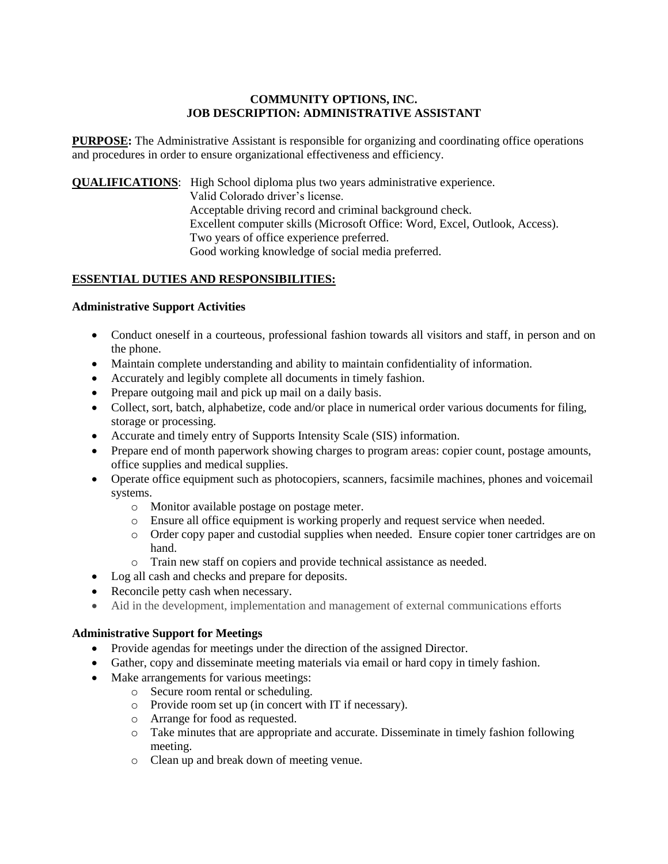#### **COMMUNITY OPTIONS, INC. JOB DESCRIPTION: ADMINISTRATIVE ASSISTANT**

**PURPOSE:** The Administrative Assistant is responsible for organizing and coordinating office operations and procedures in order to ensure organizational effectiveness and efficiency.

**QUALIFICATIONS**: High School diploma plus two years administrative experience.

Valid Colorado driver's license. Acceptable driving record and criminal background check. Excellent computer skills (Microsoft Office: Word, Excel, Outlook, Access). Two years of office experience preferred. Good working knowledge of social media preferred.

# **ESSENTIAL DUTIES AND RESPONSIBILITIES:**

#### **Administrative Support Activities**

- Conduct oneself in a courteous, professional fashion towards all visitors and staff, in person and on the phone.
- Maintain complete understanding and ability to maintain confidentiality of information.
- Accurately and legibly complete all documents in timely fashion.
- Prepare outgoing mail and pick up mail on a daily basis.
- Collect, sort, batch, alphabetize, code and/or place in numerical order various documents for filing, storage or processing.
- Accurate and timely entry of Supports Intensity Scale (SIS) information.
- Prepare end of month paperwork showing charges to program areas: copier count, postage amounts, office supplies and medical supplies.
- Operate office equipment such as photocopiers, scanners, facsimile machines, phones and voicemail systems.
	- o Monitor available postage on postage meter.
	- o Ensure all office equipment is working properly and request service when needed.
	- o Order copy paper and custodial supplies when needed. Ensure copier toner cartridges are on hand.
	- o Train new staff on copiers and provide technical assistance as needed.
- Log all cash and checks and prepare for deposits.
- Reconcile petty cash when necessary.
- Aid in the development, implementation and management of external communications efforts

## **Administrative Support for Meetings**

- Provide agendas for meetings under the direction of the assigned Director.
- Gather, copy and disseminate meeting materials via email or hard copy in timely fashion.
- Make arrangements for various meetings:
	- o Secure room rental or scheduling.
	- o Provide room set up (in concert with IT if necessary).
	- o Arrange for food as requested.
	- o Take minutes that are appropriate and accurate. Disseminate in timely fashion following meeting.
	- o Clean up and break down of meeting venue.